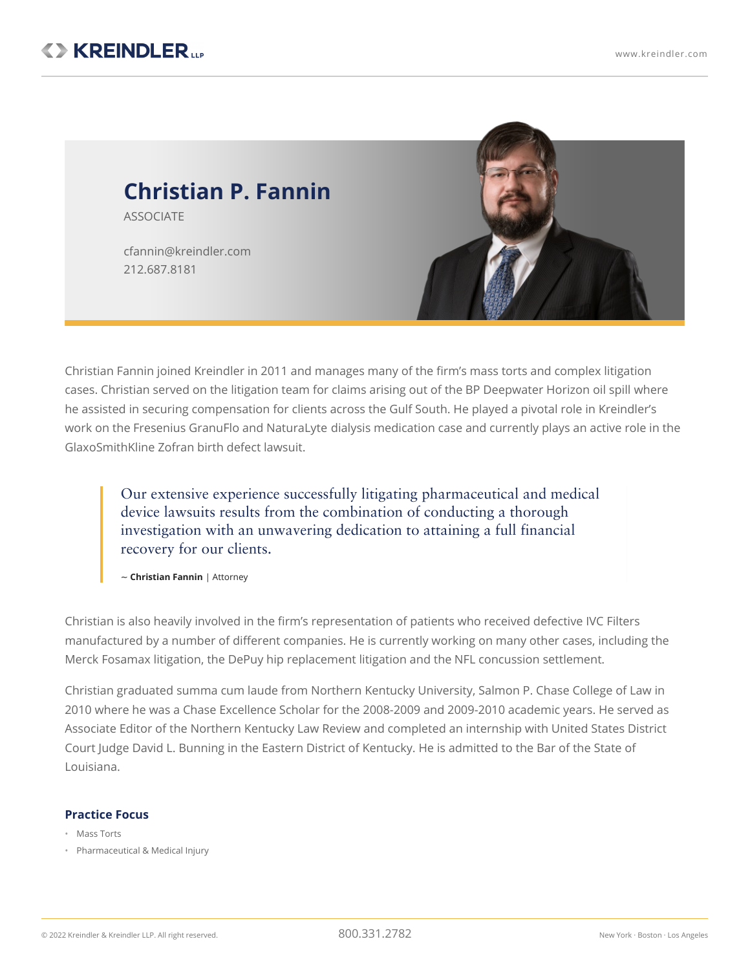

Christian Fannin joined Kreindler in 2011 and manages many of the firm's mass torts and complex litigation cases. Christian served on the litigation team for claims arising out of the BP [Deepwater](https://www.kreindler.com/news/bp-oil-spill) Horizon oil spill where he assisted in securing compensation for clients across the Gulf South. He played a pivotal role in Kreindler's work on the Fresenius GranuFlo and [NaturaLyte](https://www.kreindler.com/cases/recall-granuflo-naturalyte-litigation-massachusetts) dialysis medication case and currently plays an active role in the GlaxoSmithKline Zofran birth defect lawsuit.

Our extensive experience successfully litigating pharmaceutical and medical device lawsuits results from the combination of conducting a thorough investigation with an unwavering dedication to attaining a full financial recovery for our clients.

~ **Christian Fannin** | Attorney

Christian is also heavily involved in the firm's representation of patients who received defective IVC Filters manufactured by a number of different companies. He is currently working on many other cases, including the Merck Fosamax litigation, the DePuy hip replacement litigation and the NFL [concussion](https://www.kreindler.com/cases/nfl-concussion-case-retired-players) settlement.

Christian graduated summa cum laude from Northern Kentucky University, Salmon P. Chase College of Law in 2010 where he was a Chase Excellence Scholar for the 2008-2009 and 2009-2010 academic years. He served as Associate Editor of the Northern Kentucky Law Review and completed an internship with United States District Court Judge David L. Bunning in the Eastern District of Kentucky. He is admitted to the Bar of the State of Louisiana.

## **Practice Focus**

- Mass Torts
- Pharmaceutical & Medical Injury